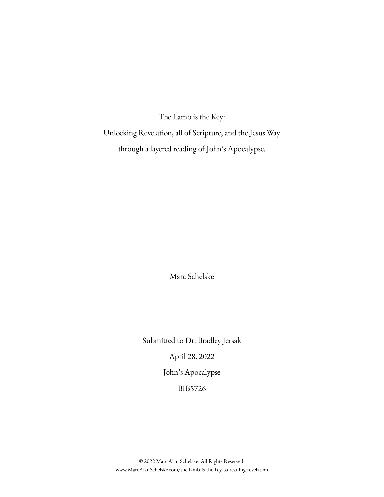The Lamb is the Key:

Unlocking Revelation, all of Scripture, and the Jesus Way through a layered reading of John's Apocalypse.

Marc Schelske

Submitted to Dr. Bradley Jersak April 28, 2022 John's Apocalypse BIB5726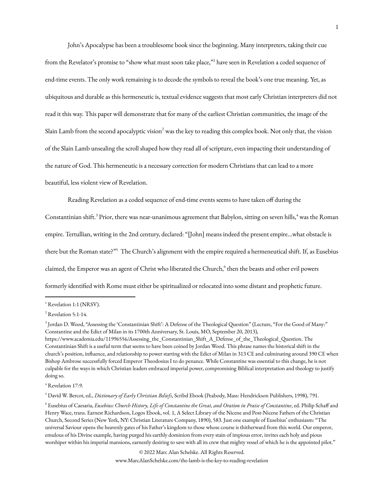John's Apocalypse has been a troublesome book since the beginning. Many interpreters, taking their cue from the Revelator's promise to "show what must soon take place,"<sup>1</sup> have seen in Revelation a coded sequence of end-time events. The only work remaining is to decode the symbols to reveal the book's one true meaning. Yet, as ubiquitous and durable as this hermeneutic is, textual evidence suggests that most early Christian interpreters did not read it this way. This paper will demonstrate that for many of the earliest Christian communities, the image of the Slain Lamb from the second apocalyptic vision $^2$  was the key to reading this complex book. Not only that, the vision of the Slain Lamb unsealing the scroll shaped how they read all of scripture, even impacting their understanding of the nature of God. This hermeneutic is a necessary correction for modern Christians that can lead to a more beautiful, less violent view of Revelation.

Reading Revelation as a coded sequence of end-time events seems to have taken off during the

Constantinian shift.<sup>3</sup> Prior, there was near-unanimous agreement that Babylon, sitting on seven hills,<sup>4</sup> was the Roman empire. Tertullian, writing in the 2nd century, declared: "[John] means indeed the present empire…what obstacle is there but the Roman state?"<sup>5</sup> The Church's alignment with the empire required a hermeneutical shift. If, as Eusebius claimed, the Emperor was an agent of Christ who liberated the Church, 6 then the beasts and other evil powers formerly identified with Rome must either be spiritualized or relocated into some distant and prophetic future.

© 2022 Marc Alan Schelske. All Rights Reserved.

<sup>&</sup>lt;sup>1</sup> Revelation 1:1 (NRSV).

<sup>2</sup> Revelation 5:1-14.

<sup>3</sup> Jordan D. Wood, "Assessing the 'Constantinian Shift': A Defense of the Theological Question" (Lecture, "For the Good of Many:" Constantine and the Edict of Milan in its 1700th Anniversary, St. Louis, MO, September 20, 2013), https://www.academia.edu/11996556/Assessing\_the\_Constantinian\_Shift\_A\_Defense\_of\_the\_Theological\_Question. The Constantinian Shift is a useful term that seems to have been coined by Jordan Wood. This phrase names the historical shift in the church's position, influence, and relationship to power starting with the Edict of Milan in 313 CE and culminating around 390 CE when Bishop Ambrose successfully forced Emperor Theodosius I to do penance. While Constantine was essential to this change, he is not culpable for the ways in which Christian leaders embraced imperial power, compromising Biblical interpretation and theology to justify doing so.

<sup>&</sup>lt;sup>4</sup> Revelation 17:9.

<sup>5</sup> David W. Bercot, ed., *Dictionary of Early Christian Beliefs*, Scribd Ebook (Peabody, Mass: Hendrickson Publishers, 1998), 791.

<sup>&</sup>lt;sup>6</sup> Eusebius of Caesaria, Eusebius: Church History, Life of Constantine the Great, and Oration in Praise of Constantine, ed. Philip Schaff and Henry Wace, trans. Earnest Richardson, Logos Ebook, vol. 1, A Select Library of the Nicene and Post-Nicene Fathers of the Christian Church, Second Series (New York, NY: Christian Literature Company, 1890), 583. Just one example of Eusebius' enthusiasm: "The universal Saviour opens the heavenly gates of his Father's kingdom to those whose course is thitherward from this world. Our emperor, emulous of his Divine example, having purged his earthly dominion from every stain of impious error, invites each holy and pious worshiper within his imperial mansions, earnestly desiring to save with all its crew that mighty vessel of which he is the appointed pilot."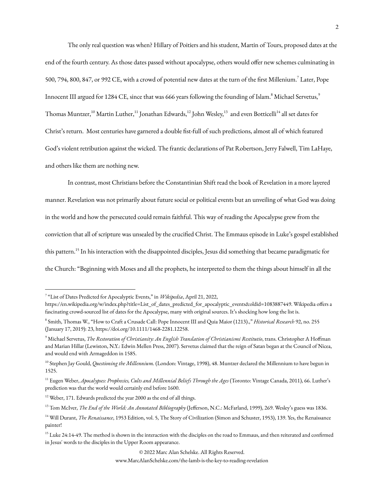The only real question was when? Hillary of Poitiers and his student, Martin of Tours, proposed dates at the end of the fourth century. As those dates passed without apocalypse, others would offer new schemes culminating in 500, 794, 800, 847, or 992 CE, with a crowd of potential new dates at the turn of the first Millenium.<sup>7</sup> Later, Pope Innocent III argued for 1284 CE, since that was 666 years following the founding of Islam. $^8$  Michael Servetus, $^9$ Thomas Muntzer,<sup>10</sup> Martin Luther,<sup>11</sup> Jonathan Edwards,<sup>12</sup> John Wesley,<sup>13</sup> and even Botticelli<sup>14</sup> all set dates for Christ's return. Most centuries have garnered a double fist-full of such predictions, almost all of which featured God's violent retribution against the wicked. The frantic declarations of Pat Robertson, Jerry Falwell, Tim LaHaye, and others like them are nothing new.

In contrast, most Christians before the Constantinian Shift read the book of Revelation in a more layered manner. Revelation was not primarily about future social or political events but an unveiling of what God was doing in the world and how the persecuted could remain faithful. This way of reading the Apocalypse grew from the conviction that all of scripture was unsealed by the crucified Christ. The Emmaus episode in Luke's gospel established this pattern. 15 In his interaction with the disappointed disciples, Jesus did something that became paradigmatic for the Church: "Beginning with Moses and all the prophets, he interpreted to them the things about himself in all the

© 2022 Marc Alan Schelske. All Rights Reserved.

<sup>7</sup> "List of Dates Predicted for Apocalyptic Events," in *Wikipedia*, April 21, 2022,

https://en.wikipedia.org/w/index.php?title=List\_of\_dates\_predicted\_for\_apocalyptic\_events&oldid=1083887449. Wikipedia offers a fascinating crowd-sourced list of dates for the Apocalypse, many with original sources. It's shocking how long the list is.

<sup>8</sup> Smith, Thomas W., "How to Craft a Crusade Call: Pope Innocent III and Quia Maior (1213).," *Historical Research* 92, no. 255 (January 17, 2019): 23, https://doi.org/10.1111/1468-2281.12258.

<sup>9</sup> Michael Servetus, *The Restoration of Christianity: An English Translation of Christianismi Restitutio*, trans. Christopher A Hoffman and Marian Hillar (Lewiston, N.Y.: Edwin Mellen Press, 2007). Servetus claimed that the reign of Satan began at the Council of Nicea, and would end with Armageddon in 1585.

<sup>10</sup> Stephen Jay Gould, *Questioning the Millennium.* (London: Vintage, 1998), 48. Muntzer declared the Millennium to have begun in 1525.

<sup>11</sup> Eugen Weber, *Apocalypses: Prophecies, Cults and Millennial Beliefs Through the Ages* (Toronto: Vintage Canada, 2011), 66. Luther's prediction was that the world would certainly end before 1600.

<sup>&</sup>lt;sup>12</sup> Weber, 171. Edwards predicted the year 2000 as the end of all things.

<sup>13</sup> Tom McIver, *The End of the World: An Annotated Bibliography* (Jefferson, N.C.: McFarland, 1999), 269. Wesley's guess was 1836.

<sup>&</sup>lt;sup>14</sup> Will Durant, *The Renaissance*, 1953 Edition, vol. 5, The Story of Civilization (Simon and Schuster, 1953), 139. Yes, the Renaissance painter!

<sup>&</sup>lt;sup>15</sup> Luke 24:14-49. The method is shown in the interaction with the disciples on the road to Emmaus, and then reiterated and confirmed in Jesus' words to the disciples in the Upper Room appearance.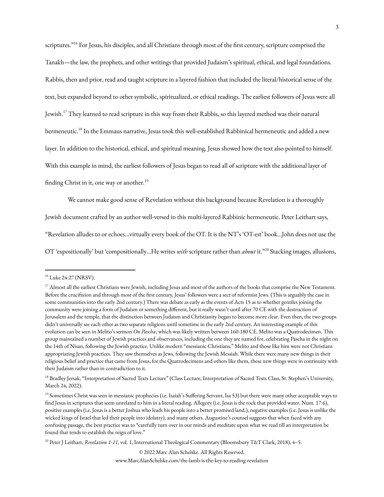scriptures."<sup>16</sup> For Jesus, his disciples, and all Christians through most of the first century, scripture comprised the Tanakh—the law, the prophets, and other writings that provided Judaism's spiritual, ethical, and legal foundations. Rabbis, then and prior, read and taught scripture in a layered fashion that included the literal/historical sense of the text, but expanded beyond to other symbolic, spiritualized, or ethical readings. The earliest followers of Jesus were all Jewish.17 They learned to read scripture in this way from their Rabbis, so this layered method was their natural hermeneutic.<sup>18</sup> In the Emmaus narrative, Jesus took this well-established Rabbinical hermeneutic and added a new layer. In addition to the historical, ethical, and spiritual meaning, Jesus showed how the text also pointed to himself. With this example in mind, the earliest followers of Jesus began to read all of scripture with the additional layer of finding Christ in it, one way or another.<sup>19</sup>

We cannot make good sense of Revelation without this background because Revelation is a thoroughly

Jewish document crafted by an author well-versed in this multi-layered Rabbinic hermeneutic. Peter Leithart says,

"Revelation alludes to or echoes…virtually every book of the OT. It is the NT's 'OT-est' book…John does not use the

OT 'expositionally' but 'compositionally…He writes *with* scripture rather than *about* it." <sup>20</sup> Stacking images, allusions,

© 2022 Marc Alan Schelske. All Rights Reserved.

<sup>&</sup>lt;sup>16</sup> Luke 24:27 (NRSV).

 $^{17}$  Almost all the earliest Christians were Jewish, including Jesus and most of the authors of the books that comprise the New Testament. Before the crucifixion and through most of the first century, Jesus' followers were a sect of reformist Jews. (This is arguably the case in some communities into the early 2nd century.) There was debate as early as the events of Acts 15 as to whether gentiles joining the community were joining a form of Judaism or something different, but it really wasn't until after 70 CE with the destruction of Jerusalem and the temple, that the distinction between Judaism and Christianity began to become more clear. Even then, the two groups didn't universally see each other as two separate religions until sometime in the early 2nd century. An interesting example of this evolution can be seen in Melito's sermon *On Pascha*, which was likely written between 160-180 CE. Melito was a Quatrodecimen. This group maintained a number of Jewish practices and observances, including the one they are named for, celebrating Pascha in the night on the 14th of Nisan, following the Jewish practice. Unlike modern "messianic Christians," Melito and those like him were not Christians appropriating Jewish practices. They saw themselves as Jews, following the Jewish Messiah. While there were many new things in their religious belief and practice that came from Jesus, for the Quatrodecimens and others like them, these new things were in continuity with their Judaism rather than in contradiction to it.

<sup>&</sup>lt;sup>18</sup> Bradley Jersak, "Interpretation of Sacred Texts Lecture" (Class Lecture, Interpretation of Sacred Texts Class, St. Stephen's University, March 24, 2022).

<sup>&</sup>lt;sup>19</sup> Sometimes Christ was seen in messianic prophecies (i.e. Isaiah's Suffering Servant, Isa 53) but there were many other acceptable ways to find Jesus in scriptures that seem unrelated to him in a literal reading. Allegory (i.e. Jesus is the rock that provided water, Num. 17:6), positive examples (i.e. Jesus is a better Joshua who leads his people into a better promised land.), negative examples (i.e. Jesus is unlike the wicked kings of Israel that led their people into idolatry), and many others. Augustine's counsel suggests that when faced with any confusing passage, the best practice was to "carefully turn over in our minds and meditate upon what we read till an interpretation be found that tends to establish the reign of love."

<sup>20</sup> Peter J Leithart, *Revelation 1-11*, vol. 1, International Theological Commentary (Bloomsbury T&T Clark, 2018), 4–5.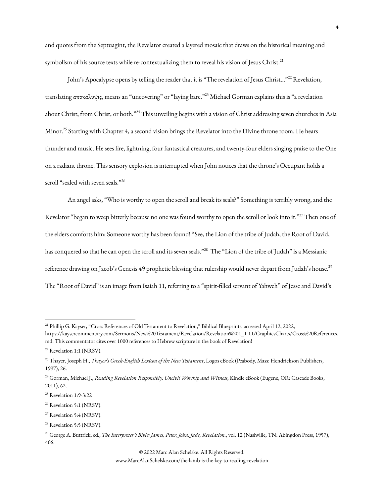and quotes from the Septuagint, the Revelator created a layered mosaic that draws on the historical meaning and symbolism of his source texts while re-contextualizing them to reveal his vision of Jesus Christ.<sup>21</sup>

John's Apocalypse opens by telling the reader that it is "The revelation of Jesus Christ..."<sup>22</sup> Revelation, translating αποκαλυψις, means an "uncovering" or "laying bare." <sup>23</sup> Michael Gorman explains this is "a revelation about Christ, from Christ, or both."<sup>24</sup> This unveiling begins with a vision of Christ addressing seven churches in Asia Minor. <sup>25</sup> Starting with Chapter 4, a second vision brings the Revelator into the Divine throne room. He hears thunder and music. He sees fire, lightning, four fantastical creatures, and twenty-four elders singing praise to the One on a radiant throne. This sensory explosion is interrupted when John notices that the throne's Occupant holds a scroll "sealed with seven seals."<sup>26</sup>

An angel asks, "Who is worthy to open the scroll and break its seals?" Something is terribly wrong, and the Revelator "began to weep bitterly because no one was found worthy to open the scroll or look into it."<sup>27</sup> Then one of the elders comforts him; Someone worthy has been found! "See, the Lion of the tribe of Judah, the Root of David, has conquered so that he can open the scroll and its seven seals."<sup>28</sup> The "Lion of the tribe of Judah" is a Messianic reference drawing on Jacob's Genesis 49 prophetic blessing that rulership would never depart from Judah's house.<sup>29</sup> The "Root of David" is an image from Isaiah 11, referring to a "spirit-filled servant of Yahweh" of Jesse and David's

© 2022 Marc Alan Schelske. All Rights Reserved.

<sup>&</sup>lt;sup>21</sup> Phillip G. Kayser, "Cross References of Old Testament to Revelation," Biblical Blueprints, accessed April 12, 2022, https://kaysercommentary.com/Sermons/New%20Testament/Revelation/Revelation%201\_1-11/GraphicsCharts/Cross%20References.

md. This commentator cites over 1000 references to Hebrew scripture in the book of Revelation!

<sup>&</sup>lt;sup>22</sup> Revelation 1:1 (NRSV).

<sup>23</sup> Thayer, Joseph H., *Thayer's Greek-English Lexicon of the New Testament*, Logos eBook (Peabody, Mass: Hendrickson Publishers, 1997), 26.

<sup>24</sup> Gorman, Michael J., *Reading Revelation Responsibly: Uncivil Worship and Witness*, Kindle eBook (Eugene, OR: Cascade Books, 2011), 62.

<sup>25</sup> Revelation 1:9-3:22

<sup>&</sup>lt;sup>26</sup> Revelation 5:1 (NRSV).

<sup>&</sup>lt;sup>27</sup> Revelation 5:4 (NRSV).

<sup>&</sup>lt;sup>28</sup> Revelation 5:5 (NRSV).

<sup>29</sup> George A. Buttrick, ed., *The Interpreter's Bible: James, Peter, John, Jude, Revelation.*, vol. 12 (Nashville, TN: Abingdon Press, 1957), 406.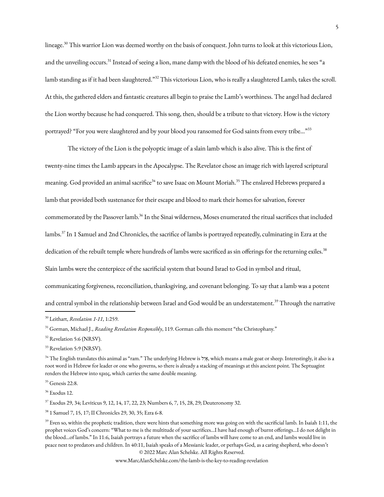lineage. <sup>30</sup> This warrior Lion was deemed worthy on the basis of conquest. John turns to look at this victorious Lion, and the unveiling occurs.<sup>31</sup> Instead of seeing a lion, mane damp with the blood of his defeated enemies, he sees "a lamb standing as if it had been slaughtered."<sup>32</sup> This victorious Lion, who is really a slaughtered Lamb, takes the scroll. At this, the gathered elders and fantastic creatures all begin to praise the Lamb's worthiness. The angel had declared the Lion worthy because he had conquered. This song, then, should be a tribute to that victory. How is the victory portrayed? "For you were slaughtered and by your blood you ransomed for God saints from every tribe..."<sup>33</sup>

The victory of the Lion is the polyoptic image of a slain lamb which is also alive. This is the first of twenty-nine times the Lamb appears in the Apocalypse. The Revelator chose an image rich with layered scriptural meaning. God provided an animal sacrifice<sup>34</sup> to save Isaac on Mount Moriah.<sup>35</sup> The enslaved Hebrews prepared a lamb that provided both sustenance for their escape and blood to mark their homes for salvation, forever commemorated by the Passover lamb.<sup>36</sup> In the Sinai wilderness, Moses enumerated the ritual sacrifices that included lambs. 37 In 1 Samuel and 2nd Chronicles, the sacrifice of lambs is portrayed repeatedly, culminating in Ezra at the dedication of the rebuilt temple where hundreds of lambs were sacrificed as sin offerings for the returning exiles.<sup>38</sup> Slain lambs were the centerpiece of the sacrificial system that bound Israel to God in symbol and ritual, communicating forgiveness, reconciliation, thanksgiving, and covenant belonging. To say that a lamb was a potent and central symbol in the relationship between Israel and God would be an understatement.<sup>39</sup> Through the narrative

<sup>37</sup> Exodus 29, 34; Leviticus 9, 12, 14, 17, 22, 23; Numbers 6, 7, 15, 28, 29; Deuteronomy 32.

<sup>38</sup> 1 Samuel 7, 15, 17; II Chronicles 29, 30, 35; Ezra 6-8.

© 2022 Marc Alan Schelske. All Rights Reserved.

<sup>30</sup> Leithart, *Revelation 1-11*, 1:259.

<sup>31</sup> Gorman, Michael J., *Reading Revelation Responsibly*, 119. Gorman calls this moment "the Christophany."

<sup>&</sup>lt;sup>32</sup> Revelation 5:6 (NRSV).

<sup>&</sup>lt;sup>33</sup> Revelation 5:9 (NRSV).

<sup>34</sup> The English translates this animal as "ram." The underlying Hebrew is לִאיַ, which means a male goat or sheep. Interestingly, it also is a root word in Hebrew for leader or one who governs, so there is already a stacking of meanings at this ancient point. The Septuagint renders the Hebrew into κριος, which carries the same double meaning.

<sup>35</sup> Genesis 22:8.

<sup>36</sup> Exodus 12.

 $39$  Even so, within the prophetic tradition, there were hints that something more was going on with the sacrificial lamb. In Isaiah 1:11, the prophet voices God's concern: "What to me is the multitude of your sacrifices…I have had enough of burnt offerings…I do not delight in the blood…of lambs." In 11:6, Isaiah portrays a future when the sacrifice of lambs will have come to an end, and lambs would live in peace next to predators and children. In 40:11, Isaiah speaks of a Messianic leader, or perhaps God, as a caring shepherd, who doesn't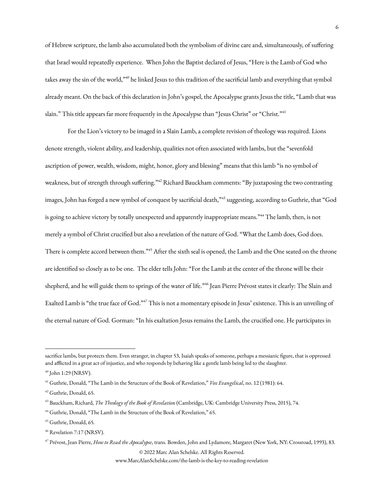of Hebrew scripture, the lamb also accumulated both the symbolism of divine care and, simultaneously, of suffering that Israel would repeatedly experience. When John the Baptist declared of Jesus, "Here is the Lamb of God who takes away the sin of the world,"<sup>40</sup> he linked Jesus to this tradition of the sacrificial lamb and everything that symbol already meant. On the back of this declaration in John's gospel, the Apocalypse grants Jesus the title, "Lamb that was slain." This title appears far more frequently in the Apocalypse than "Jesus Christ" or "Christ."<sup>41</sup>

For the Lion's victory to be imaged in a Slain Lamb, a complete revision of theology was required. Lions denote strength, violent ability, and leadership, qualities not often associated with lambs, but the "sevenfold ascription of power, wealth, wisdom, might, honor, glory and blessing" means that this lamb "is no symbol of weakness, but of strength through suffering." <sup>42</sup> Richard Bauckham comments: "By juxtaposing the two contrasting images, John has forged a new symbol of conquest by sacrificial death," 43 suggesting, according to Guthrie, that "God is going to achieve victory by totally unexpected and apparently inappropriate means."<sup>44</sup> The lamb, then, is not merely a symbol of Christ crucified but also a revelation of the nature of God. "What the Lamb does, God does. There is complete accord between them."<sup>45</sup> After the sixth seal is opened, the Lamb and the One seated on the throne are identified so closely as to be one. The elder tells John: "For the Lamb at the center of the throne will be their shepherd, and he will guide them to springs of the water of life." 46 Jean Pierre Prévost states it clearly: The Slain and Exalted Lamb is "the true face of God."<sup>47</sup> This is not a momentary episode in Jesus' existence. This is an unveiling of the eternal nature of God. Gorman: "In his exaltation Jesus remains the Lamb, the crucified one. He participates in

sacrifice lambs, but protects them. Even stranger, in chapter 53, Isaiah speaks of someone, perhaps a messianic figure, that is oppressed and afflicted in a great act of injustice, and who responds by behaving like a gentle lamb being led to the slaughter.

<sup>40</sup> John 1:29 (NRSV).

<sup>41</sup> Guthrie, Donald, "The Lamb in the Structure of the Book of Revelation," *Vox Evangelical*, no. 12 (1981): 64.

<sup>42</sup> Guthrie, Donald, 65.

<sup>43</sup> Bauckham, Richard, *The Theology of the Book of Revelation* (Cambridge, UK: Cambridge University Press, 2015), 74.

<sup>&</sup>lt;sup>44</sup> Guthrie, Donald, "The Lamb in the Structure of the Book of Revelation," 65.

<sup>45</sup> Guthrie, Donald, 65.

<sup>&</sup>lt;sup>46</sup> Revelation 7:17 (NRSV).

<sup>47</sup> Prévost, Jean Pierre, *How to Read the Apocalypse*, trans. Bowden, John and Lydamore, Margaret (New York, NY: [Crossroad,](https://www.zotero.org/google-docs/?broken=wNaP9J) 1993), 83. © 2022 Marc Alan Schelske. All Rights Reserved.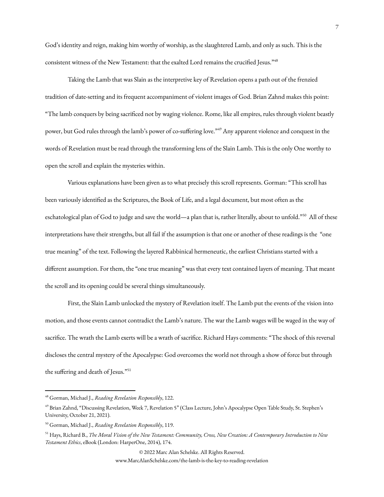God's identity and reign, making him worthy of worship, as the slaughtered Lamb, and only as such. This is the consistent witness of the New Testament: that the exalted Lord remains the crucified Jesus." 48

Taking the Lamb that was Slain as the interpretive key of Revelation opens a path out of the frenzied tradition of date-setting and its frequent accompaniment of violent images of God. Brian Zahnd makes this point: "The lamb conquers by being sacrificed not by waging violence. Rome, like all empires, rules through violent beastly power, but God rules through the lamb's power of co-suffering love."<sup>49</sup> Any apparent violence and conquest in the words of Revelation must be read through the transforming lens of the Slain Lamb. This is the only One worthy to open the scroll and explain the mysteries within.

Various explanations have been given as to what precisely this scroll represents. Gorman: "This scroll has been variously identified as the Scriptures, the Book of Life, and a legal document, but most often as the eschatological plan of God to judge and save the world—a plan that is, rather literally, about to unfold."<sup>50</sup> All of these interpretations have their strengths, but all fail if the assumption is that one or another of these readings is the "one true meaning" of the text. Following the layered Rabbinical hermeneutic, the earliest Christians started with a different assumption. For them, the "one true meaning" was that every text contained layers of meaning. That meant the scroll and its opening could be several things simultaneously.

First, the Slain Lamb unlocked the mystery of Revelation itself. The Lamb put the events of the vision into motion, and those events cannot contradict the Lamb's nature. The war the Lamb wages will be waged in the way of sacrifice. The wrath the Lamb exerts will be a wrath of sacrifice. Richard Hays comments: "The shock of this reversal discloses the central mystery of the Apocalypse: God overcomes the world not through a show of force but through the suffering and death of Jesus."<sup>51</sup>

© 2022 Marc Alan Schelske. All Rights Reserved.

<sup>48</sup> Gorman, Michael J., *Reading Revelation Responsibly*, 122.

<sup>49</sup> Brian Zahnd, "Discussing Revelation, Week 7, Revelation 5" (Class Lecture, John's Apocalypse Open Table Study, St. Stephen's University, October 21, 2021).

<sup>50</sup> Gorman, Michael J., *Reading Revelation Responsibly*, 119.

<sup>&</sup>lt;sup>51</sup> Hays, Richard B., The Moral Vision of the New Testament: Community, Cross, New Creation: A Contemporary Introduction to New *Testament Ethics*, eBook (London: HarperOne, 2014), 174.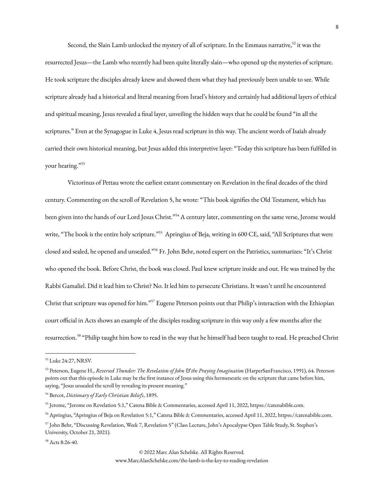Second, the Slain Lamb unlocked the mystery of all of scripture. In the Emmaus narrative,<sup>52</sup> it was the resurrected Jesus—the Lamb who recently had been quite literally slain—who opened up the mysteries of scripture. He took scripture the disciples already knew and showed them what they had previously been unable to see. While scripture already had a historical and literal meaning from Israel's history and certainly had additional layers of ethical and spiritual meaning, Jesus revealed a final layer, unveiling the hidden ways that he could be found "in all the scriptures." Even at the Synagogue in Luke 4, Jesus read scripture in this way. The ancient words of Isaiah already carried their own historical meaning, but Jesus added this interpretive layer: "Today this scripture has been fulfilled in your hearing." 53

Victorinus of Pettau wrote the earliest extant commentary on Revelation in the final decades of the third century. Commenting on the scroll of Revelation 5, he wrote: "This book signifies the Old Testament, which has been given into the hands of our Lord Jesus Christ."<sup>54</sup> A century later, commenting on the same verse, Jerome would write, "The book is the entire holy scripture."<sup>55</sup> Apringius of Beja, writing in 600 CE, said, "All Scriptures that were closed and sealed, he opened and unsealed." <sup>56</sup> Fr. John Behr, noted expert on the Patristics, summarizes: "It's Christ who opened the book. Before Christ, the book was closed. Paul knew scripture inside and out. He was trained by the Rabbi Gamaliel. Did it lead him to Christ? No. It led him to persecute Christians. It wasn't until he encountered Christ that scripture was opened for him."<sup>57</sup> Eugene Peterson points out that Philip's interaction with the Ethiopian court official in Acts shows an example of the disciples reading scripture in this way only a few months after the resurrection.<sup>58</sup> "Philip taught him how to read in the way that he himself had been taught to read. He preached Christ

<sup>58</sup> Acts 8:26-40.

© 2022 Marc Alan Schelske. All Rights Reserved.

<sup>52</sup> Luke 24:27, NRSV.

<sup>53</sup> Peterson, Eugene H., *Reversed Thunder: The Revelation of John & the Praying Imagination* (HarperSanFrancisco, 1991), 64. Peterson points out that this episode in Luke may be the first instance of Jesus using this hermeneutic on the scripture that came before him, saying, "Jesus unsealed the scroll by revealing its present meaning."

<sup>54</sup> Bercot, *Dictionary of Early Christian Beliefs*, 1895.

<sup>55</sup> Jerome, "Jerome on Revelation 5:1," Catena Bible & Commentaries, accessed April 11, 2022, httpss://catenabible.com.

<sup>56</sup> Apringius, "Apringius of Beja on Revelation 5:1," Catena Bible & Commentaries, accessed April 11, 2022, httpss://catenabible.com.

<sup>57</sup> John Behr, "Discussing Revelation, Week 7, Revelation 5" (Class Lecture, John's Apocalypse Open Table Study, St. Stephen's University, October 21, 2021).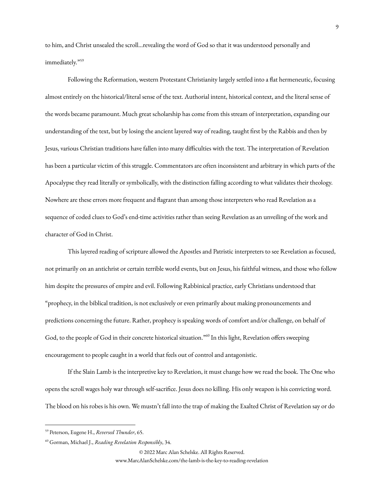to him, and Christ unsealed the scroll…revealing the word of God so that it was understood personally and immediately." 59

Following the Reformation, western Protestant Christianity largely settled into a flat hermeneutic, focusing almost entirely on the historical/literal sense of the text. Authorial intent, historical context, and the literal sense of the words became paramount. Much great scholarship has come from this stream of interpretation, expanding our understanding of the text, but by losing the ancient layered way of reading, taught first by the Rabbis and then by Jesus, various Christian traditions have fallen into many difficulties with the text. The interpretation of Revelation has been a particular victim of this struggle. Commentators are often inconsistent and arbitrary in which parts of the Apocalypse they read literally or symbolically, with the distinction falling according to what validates their theology. Nowhere are these errors more frequent and flagrant than among those interpreters who read Revelation as a sequence of coded clues to God's end-time activities rather than seeing Revelation as an unveiling of the work and character of God in Christ.

This layered reading of scripture allowed the Apostles and Patristic interpreters to see Revelation as focused, not primarily on an antichrist or certain terrible world events, but on Jesus, his faithful witness, and those who follow him despite the pressures of empire and evil. Following Rabbinical practice, early Christians understood that "prophecy, in the biblical tradition, is not exclusively or even primarily about making pronouncements and predictions concerning the future. Rather, prophecy is speaking words of comfort and/or challenge, on behalf of God, to the people of God in their concrete historical situation."<sup>60</sup> In this light, Revelation offers sweeping encouragement to people caught in a world that feels out of control and antagonistic.

If the Slain Lamb is the interpretive key to Revelation, it must change how we read the book. The One who opens the scroll wages holy war through self-sacrifice. Jesus does no killing. His only weapon is his convicting word. The blood on his robes is his own. We mustn't fall into the trap of making the Exalted Christ of Revelation say or do

© 2022 Marc Alan Schelske. All Rights Reserved.

<sup>59</sup> Peterson, Eugene H., *Reversed Thunder*, 65.

<sup>60</sup> Gorman, Michael J., *Reading Revelation Responsibly*, 34.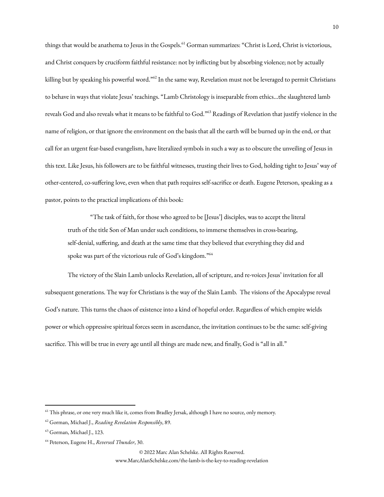things that would be anathema to Jesus in the Gospels.<sup>61</sup> Gorman summarizes: "Christ is Lord, Christ is victorious, and Christ conquers by cruciform faithful resistance: not by inflicting but by absorbing violence; not by actually killing but by speaking his powerful word."<sup>62</sup> In the same way, Revelation must not be leveraged to permit Christians to behave in ways that violate Jesus' teachings. "Lamb Christology is inseparable from ethics…the slaughtered lamb reveals God and also reveals what it means to be faithful to God." <sup>63</sup> Readings of Revelation that justify violence in the name of religion, or that ignore the environment on the basis that all the earth will be burned up in the end, or that call for an urgent fear-based evangelism, have literalized symbols in such a way as to obscure the unveiling of Jesus in this text. Like Jesus, his followers are to be faithful witnesses, trusting their lives to God, holding tight to Jesus' way of other-centered, co-suffering love, even when that path requires self-sacrifice or death. Eugene Peterson, speaking as a pastor, points to the practical implications of this book:

"The task of faith, for those who agreed to be [Jesus'] disciples, was to accept the literal truth of the title Son of Man under such conditions, to immerse themselves in cross-bearing, self-denial, suffering, and death at the same time that they believed that everything they did and spoke was part of the victorious rule of God's kingdom."<sup>64</sup>

The victory of the Slain Lamb unlocks Revelation, all of scripture, and re-voices Jesus' invitation for all subsequent generations. The way for Christians is the way of the Slain Lamb. The visions of the Apocalypse reveal God's nature. This turns the chaos of existence into a kind of hopeful order. Regardless of which empire wields power or which oppressive spiritual forces seem in ascendance, the invitation continues to be the same: self-giving sacrifice. This will be true in every age until all things are made new, and finally, God is "all in all."

© 2022 Marc Alan Schelske. All Rights Reserved.

<sup>&</sup>lt;sup>61</sup> This phrase, or one very much like it, comes from Bradley Jersak, although I have no source, only memory.

<sup>62</sup> Gorman, Michael J., *Reading Revelation Responsibly*, 89.

<sup>63</sup> Gorman, Michael J., 123.

<sup>64</sup> Peterson, Eugene H., *Reversed Thunder*, 30.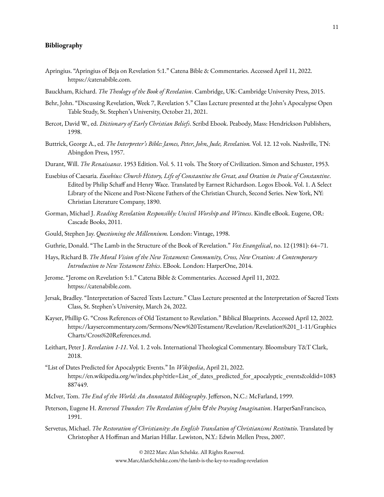## **Bibliography**

- Apringius. "Apringius of Beja on Revelation 5:1." Catena Bible & Commentaries. Accessed April 11, 2022. httpss://catenabible.com.
- Bauckham, Richard. *The Theology of the Book of Revelation*. Cambridge, UK: Cambridge University Press, 2015.
- Behr, John. "Discussing Revelation, Week 7, Revelation 5." Class Lecture presented at the John's Apocalypse Open Table Study, St. Stephen's University, October 21, 2021.
- Bercot, David W., ed. *Dictionary of Early Christian Beliefs*. Scribd Ebook. Peabody, Mass: Hendrickson Publishers, 1998.
- Buttrick, George A., ed. *The Interpreter's Bible: James, Peter, John, Jude, Revelation.* Vol. 12. 12 vols. Nashville, TN: Abingdon Press, 1957.
- Durant, Will. *The Renaissance*. 1953 Edition. Vol. 5. 11 vols. The Story of Civilization. Simon and Schuster, 1953.
- Eusebius of Caesaria. *Eusebius: Church History, Life of Constantine the Great, and Oration in Praise of Constantine*. Edited by Philip Schaff and Henry Wace. Translated by Earnest Richardson. Logos Ebook. Vol. 1. A Select Library of the Nicene and Post-Nicene Fathers of the Christian Church, Second Series. New York, NY: Christian Literature Company, 1890.
- Gorman, Michael J. *Reading Revelation Responsibly: Uncivil Worship and Witness*. Kindle eBook. Eugene, OR: Cascade Books, 2011.
- Gould, Stephen Jay. *Questioning the Millennium.* London: Vintage, 1998.
- Guthrie, Donald. "The Lamb in the Structure of the Book of Revelation." *Vox Evangelical*, no. 12 (1981): 64–71.
- Hays, Richard B. *The Moral Vision of the New Testament: Community, Cross, New Creation: A Contemporary Introduction to New Testament Ethics*. EBook. London: HarperOne, 2014.
- Jerome. "Jerome on Revelation 5:1." Catena Bible & Commentaries. Accessed April 11, 2022. httpss://catenabible.com.
- Jersak, Bradley. "Interpretation of Sacred Texts Lecture." Class Lecture presented at the Interpretation of Sacred Texts Class, St. Stephen's University, March 24, 2022.
- Kayser, Phillip G. "Cross References of Old Testament to Revelation." Biblical Blueprints. Accessed April 12, 2022. https://kaysercommentary.com/Sermons/New%20Testament/Revelation/Revelation%201\_1-11/Graphics Charts/Cross%20References.md.
- Leithart, Peter J. *Revelation 1-11*. Vol. 1. 2 vols. International Theological Commentary. Bloomsbury T&T Clark, 2018.
- "List of Dates Predicted for Apocalyptic Events." In *Wikipedia*, April 21, 2022. https://en.wikipedia.org/w/index.php?title=List\_of\_dates\_predicted\_for\_apocalyptic\_events&oldid=1083 887449.
- McIver, Tom. *The End of the World: An Annotated Bibliography*. Jefferson, N.C.: McFarland, 1999.
- Peterson, Eugene H. *Reversed Thunder: The Revelation of John & the Praying Imagination*. HarperSanFrancisco, 1991.
- Servetus, Michael. *The Restoration of Christianity: An English Translation of Christianismi Restitutio*. Translated by Christopher A Hoffman and Marian Hillar. Lewiston, N.Y.: Edwin Mellen Press, 2007.

© 2022 Marc Alan Schelske. All Rights Reserved. www.MarcAlanSchelske.com/the-lamb-is-the-key-to-reading-revelation